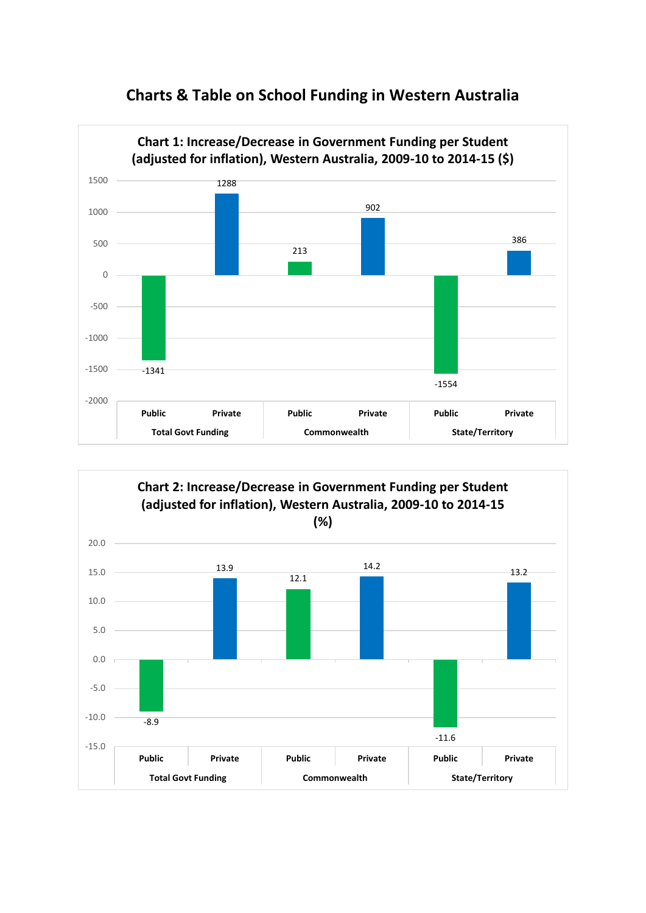



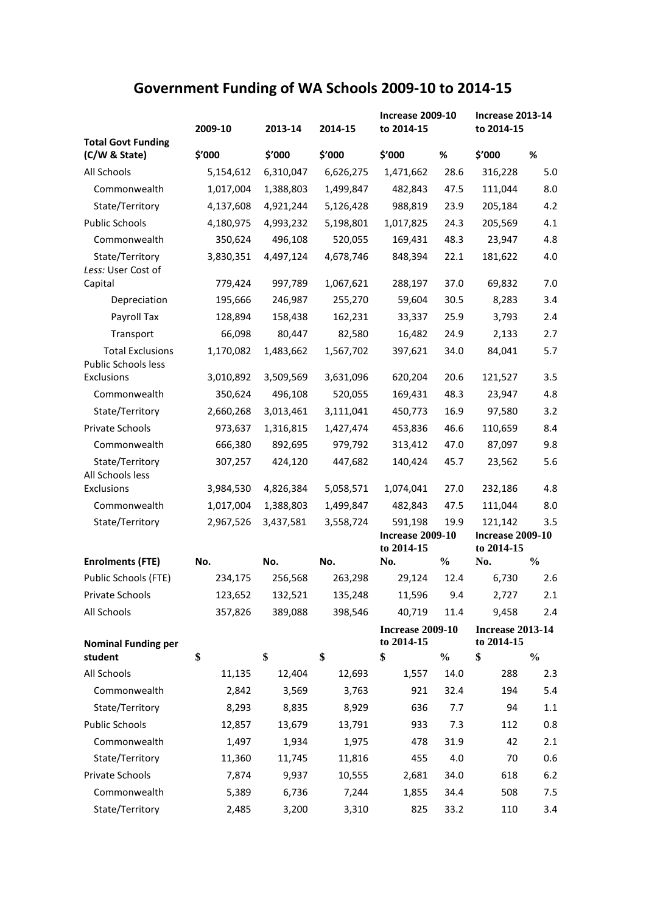## **Government Funding of WA Schools 2009-10 to 2014-15**

|                                                   | 2009-10              | 2013-14              | 2014-15                   | <b>Increase 2009-10</b><br>to 2014-15 |               | <b>Increase 2013-14</b><br>to 2014-15 |               |
|---------------------------------------------------|----------------------|----------------------|---------------------------|---------------------------------------|---------------|---------------------------------------|---------------|
| <b>Total Govt Funding</b><br>(C/W & State)        | \$′000               | \$'000               | \$'000                    | \$'000                                | $\%$          | \$'000                                | %             |
| All Schools                                       | 5,154,612            | 6,310,047            | 6,626,275                 | 1,471,662                             | 28.6          | 316,228                               | 5.0           |
| Commonwealth                                      | 1,017,004            | 1,388,803            | 1,499,847                 | 482,843                               | 47.5          | 111,044                               | 8.0           |
| State/Territory                                   | 4,137,608            | 4,921,244            | 5,126,428                 | 988,819                               | 23.9          | 205,184                               | 4.2           |
| <b>Public Schools</b>                             | 4,180,975            | 4,993,232            | 5,198,801                 | 1,017,825                             | 24.3          | 205,569                               | 4.1           |
| Commonwealth                                      | 350,624              | 496,108              | 520,055                   | 169,431                               | 48.3          | 23,947                                | 4.8           |
| State/Territory<br>Less: User Cost of             | 3,830,351            | 4,497,124            | 4,678,746                 | 848,394                               | 22.1          | 181,622                               | 4.0           |
| Capital                                           | 779,424              | 997,789              | 1,067,621                 | 288,197                               | 37.0          | 69,832                                | 7.0           |
| Depreciation                                      | 195,666              | 246,987              | 255,270                   | 59,604                                | 30.5          | 8,283                                 | 3.4           |
| Payroll Tax                                       | 128,894              | 158,438              | 162,231                   | 33,337                                | 25.9          | 3,793                                 | 2.4           |
| Transport                                         | 66,098               | 80,447               | 82,580                    | 16,482                                | 24.9          | 2,133                                 | 2.7           |
| <b>Total Exclusions</b><br>Public Schools less    | 1,170,082            | 1,483,662            | 1,567,702                 | 397,621                               | 34.0          | 84,041                                | 5.7           |
| Exclusions                                        | 3,010,892            | 3,509,569            | 3,631,096                 | 620,204                               | 20.6          | 121,527                               | 3.5           |
| Commonwealth                                      | 350,624              | 496,108              | 520,055                   | 169,431                               | 48.3          | 23,947                                | 4.8           |
| State/Territory                                   | 2,660,268            | 3,013,461            | 3,111,041                 | 450,773                               | 16.9          | 97,580                                | 3.2           |
| Private Schools                                   | 973,637              | 1,316,815            | 1,427,474                 | 453,836                               | 46.6          | 110,659                               | 8.4           |
| Commonwealth                                      | 666,380              | 892,695              | 979,792                   | 313,412                               | 47.0          | 87,097                                | 9.8           |
| State/Territory<br>All Schools less<br>Exclusions | 307,257<br>3,984,530 | 424,120<br>4,826,384 | 447,682<br>5,058,571      | 140,424<br>1,074,041                  | 45.7<br>27.0  | 23,562<br>232,186                     | 5.6<br>4.8    |
| Commonwealth                                      | 1,017,004            | 1,388,803            | 1,499,847                 | 482,843                               | 47.5          | 111,044                               | 8.0           |
| State/Territory                                   | 2,967,526            | 3,437,581            | 3,558,724                 | 591,198                               | 19.9          | 121,142                               | 3.5           |
|                                                   |                      |                      |                           | <b>Increase 2009-10</b>               |               | Increase $2009-10$                    |               |
|                                                   |                      |                      |                           | to 2014-15                            |               | to 2014-15                            |               |
| <b>Enrolments (FTE)</b>                           | No.                  | No.                  | No.                       | No.                                   | $\frac{0}{0}$ | No.                                   | $\frac{0}{0}$ |
| Public Schools (FTE)                              | 234,175              | 256,568              | 263,298                   | 29,124                                | 12.4          | 6,730                                 | 2.6           |
| Private Schools                                   |                      |                      | 123,652  132,521  135,248 | 11,596 9.4                            |               | 2,727                                 | 2.1           |
| All Schools                                       | 357,826              | 389,088              | 398,546                   | 40,719                                | 11.4          | 9,458                                 | 2.4           |
| <b>Nominal Funding per</b>                        |                      |                      |                           | <b>Increase 2009-10</b><br>to 2014-15 |               | <b>Increase 2013-14</b><br>to 2014-15 |               |
| student                                           | \$                   | \$                   | \$                        | \$                                    | $\frac{0}{0}$ | \$                                    | $\frac{0}{0}$ |
| All Schools                                       | 11,135               | 12,404               | 12,693                    | 1,557                                 | 14.0          | 288                                   | 2.3           |
| Commonwealth                                      | 2,842                | 3,569                | 3,763                     | 921                                   | 32.4          | 194                                   | 5.4           |
| State/Territory                                   | 8,293                | 8,835                | 8,929                     | 636                                   | 7.7           | 94                                    | 1.1           |
| <b>Public Schools</b>                             | 12,857               | 13,679               | 13,791                    | 933                                   | 7.3           | 112                                   | 0.8           |
| Commonwealth                                      | 1,497                | 1,934                | 1,975                     | 478                                   | 31.9          | 42                                    | 2.1           |
| State/Territory                                   | 11,360               | 11,745               | 11,816                    | 455                                   | 4.0           | 70                                    | 0.6           |
| Private Schools                                   | 7,874                | 9,937                | 10,555                    | 2,681                                 | 34.0          | 618                                   | $6.2$         |
| Commonwealth                                      | 5,389                | 6,736                | 7,244                     | 1,855                                 | 34.4          | 508                                   | 7.5           |
| State/Territory                                   | 2,485                | 3,200                | 3,310                     | 825                                   | 33.2          | 110                                   | 3.4           |